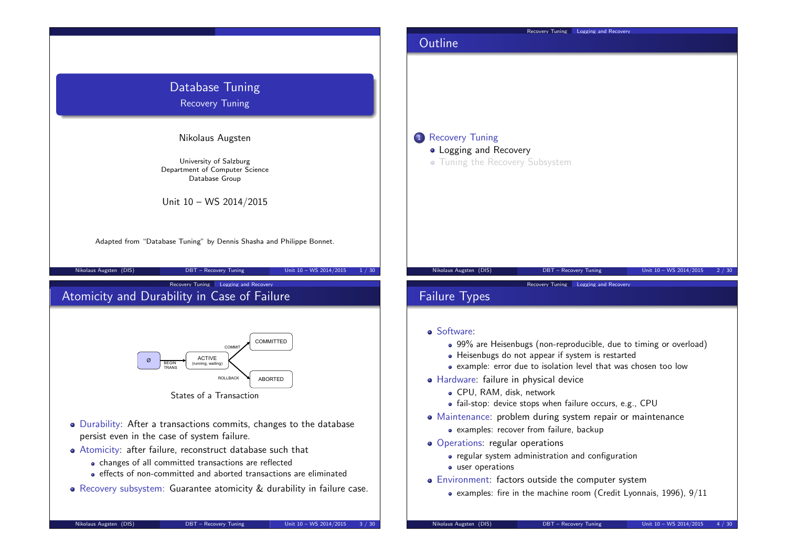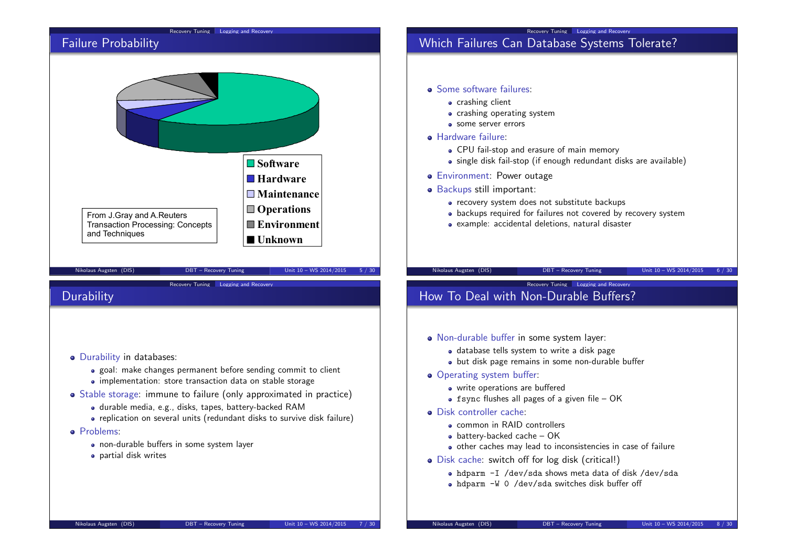

## **Durability**

- Durability in databases:
	- goal: make changes permanent before sending commit to client
	- implementation: store transaction data on stable storage
- Stable storage: immune to failure (only approximated in practice)
	- durable media, e.g., disks, tapes, battery-backed RAM
	- replication on several units (redundant disks to survive disk failure)
- **•** Problems:
	- non-durable buffers in some system layer
	- partial disk writes

#### Non-durable buffer in some system layer:

- database tells system to write a disk page
- but disk page remains in some non-durable buffer
- Operating system buffer:
	- write operations are buffered
	- $\bullet$  fsync flushes all pages of a given file OK
- Disk controller cache:
	- **common in RAID controllers**
	- battery-backed cache OK
	- o other caches may lead to inconsistencies in case of failure
- Disk cache: switch off for log disk (critical!)
	- hdparm -I /dev/sda shows meta data of disk /dev/sda
	- hdparm -W 0 /dev/sda switches disk buffer off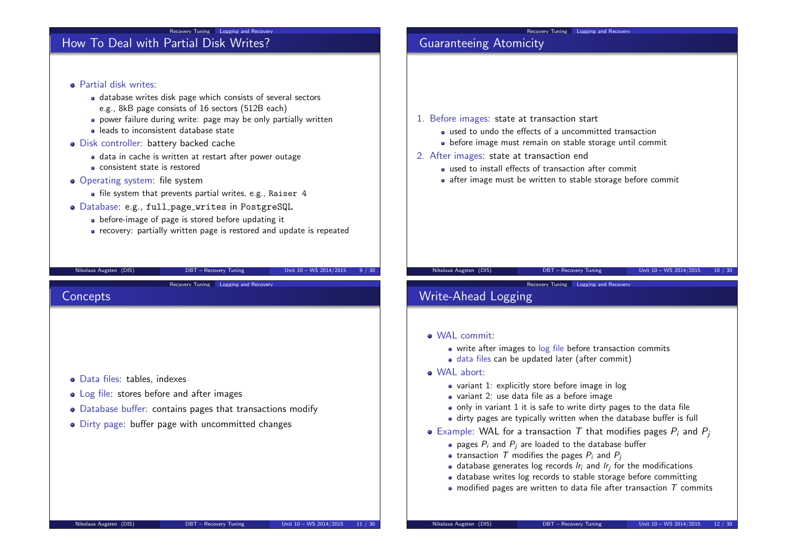# How To Deal with Partial Disk Writes?

#### **• Partial disk writes:**

- database writes disk page which consists of several sectors e.g., 8kB page consists of 16 sectors (512B each)
- power failure during write: page may be only partially written

Recovery Tuning Logging and Recovery

- **e** leads to inconsistent database state
- Disk controller: battery backed cache
	- data in cache is written at restart after power outage
	- consistent state is restored
- Operating system: file system
	- file system that prevents partial writes, e.g., Raiser 4
- Database: e.g., full page writes in PostgreSQL
	- before-image of page is stored before updating it
	- recovery: partially written page is restored and update is repeated

Recovery Tuning Logging and Recovery

Nikolaus Augsten (DIS) DBT – Recovery Tuning Unit 10 – WS 2014/2015 9 / 30

### **Concepts**

- Data files: tables, indexes
- Log file: stores before and after images
- Database buffer: contains pages that transactions modify
- Dirty page: buffer page with uncommitted changes

## Guaranteeing Atomicity

- 1. Before images: state at transaction start
	- used to undo the effects of a uncommitted transaction
	- before image must remain on stable storage until commit
- 2. After images: state at transaction end
	- used to install effects of transaction after commit
	- after image must be written to stable storage before commit

#### Nikolaus Augsten (DIS) DBT – Recovery Tuning Unit 10 – WS 2014/2015 10 / 30

Recovery Tuning Logging and Recovery

## Write-Ahead Logging

#### WAL commit:

- write after images to log file before transaction commits
- data files can be updated later (after commit)
- WAL abort:
	- variant 1: explicitly store before image in log
	- variant 2: use data file as a before image
	- $\bullet$  only in variant 1 it is safe to write dirty pages to the data file
	- dirty pages are typically written when the database buffer is full
- Example: WAL for a transaction T that modifies pages  $P_i$  and  $P_i$ 
	- $\bullet$  pages  $P_i$  and  $P_j$  are loaded to the database buffer
	- transaction  $\overline{T}$  modifies the pages  $P_i$  and  $P_i$
	- database generates log records  $Ir_i$  and  $Ir_j$  for the modifications
	- database writes log records to stable storage before committing
	- modified pages are written to data file after transaction  $T$  commits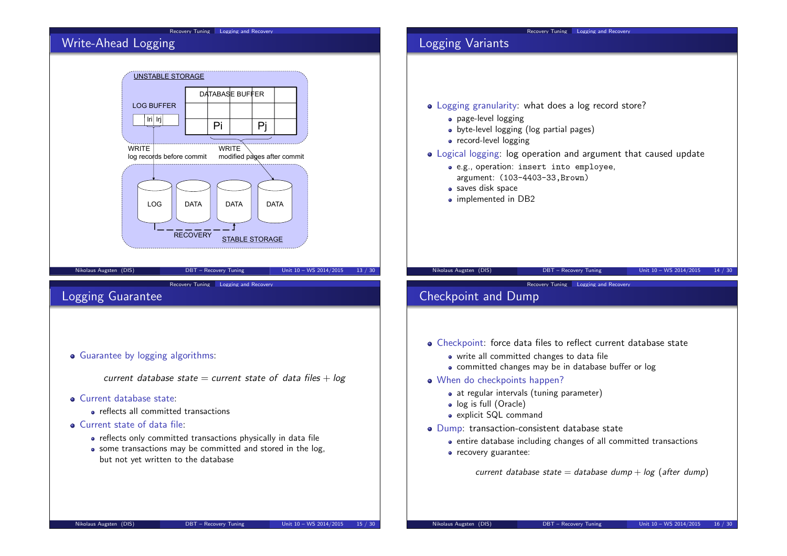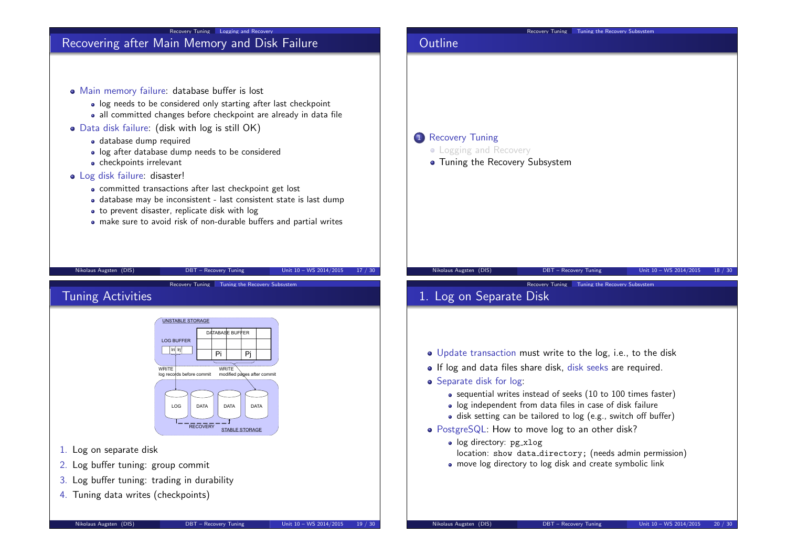



Recovery Tuning Tuning the Recovery Subsystem

# 1. Log on Separate Disk

- Update transaction must write to the log, i.e., to the disk
- If log and data files share disk, disk seeks are required.
- Separate disk for log:
	- sequential writes instead of seeks (10 to 100 times faster)
	- log independent from data files in case of disk failure
	- disk setting can be tailored to log (e.g., switch off buffer)
- PostgreSQL: How to move log to an other disk?
	- log directory: pg\_xlog location: show data directory; (needs admin permission) • move log directory to log disk and create symbolic link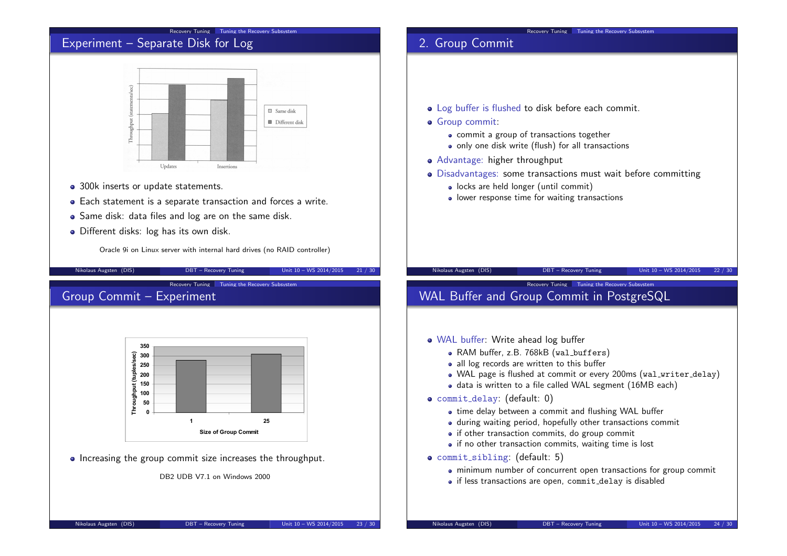#### Recovery Tuning Tuning the Recovery Subsystem

# Experiment – Separate Disk for Log



- 300k inserts or update statements.
- Each statement is a separate transaction and forces a write.
- Same disk: data files and log are on the same disk.
- Different disks: log has its own disk.

Oracle 9i on Linux server with internal hard drives (no RAID controller)

Nikolaus Augsten (DIS) DBT – Recovery Tuning Unit 10 – WS 2014/2015 21 / 30

Recovery Tuning Tuning the Recovery Subsystem

## Group Commit – Experiment



• Increasing the group commit size increases the throughput.

DB<sub>2</sub> UDB V<sub>7</sub>.1 on Windows 2000

### Recovery Tuning Tuning the Recovery Subsystem

# 2. Group Commit

- Log buffer is flushed to disk before each commit.
- **•** Group commit:
	- commit a group of transactions together
	- only one disk write (flush) for all transactions
- Advantage: higher throughput
- Disadvantages: some transactions must wait before committing
	- locks are held longer (until commit)
	- lower response time for waiting transactions

#### Nikolaus Augsten (DIS) DBT – Recovery Tuning Unit 10 – WS 2014/2015 22 / 30 Recovery Tuning Tuning the Recovery Subsystem

# WAL Buffer and Group Commit in PostgreSQL

- WAL buffer: Write ahead log buffer
	- RAM buffer, z.B. 768kB (wal\_buffers)
	- all log records are written to this buffer
	- WAL page is flushed at commit or every 200ms (wal\_writer\_delay)
	- data is written to a file called WAL segment (16MB each)
- commit delay: (default: 0)
	- time delay between a commit and flushing WAL buffer
	- during waiting period, hopefully other transactions commit
	- if other transaction commits, do group commit
	- if no other transaction commits, waiting time is lost
- commit sibling: (default: 5)
	- minimum number of concurrent open transactions for group commit
	- if less transactions are open, commit delay is disabled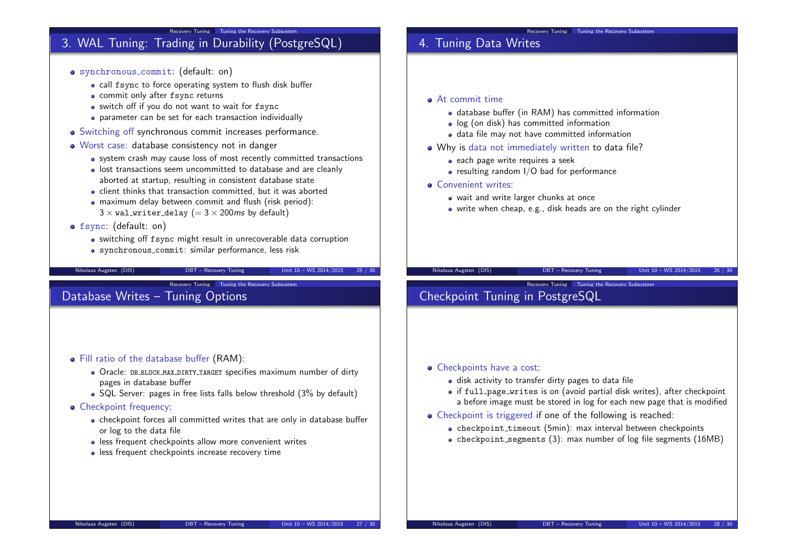Recovery Tuning Tuning the Recovery Subsystem 3. WAL Tuning: Trading in Durability (PostgreSQL) synchronous commit: (default: on) • call fsync to force operating system to flush disk buffer • commit only after fsync returns • switch off if you do not want to wait for fsync parameter can be set for each transaction individually Switching off synchronous commit increases performance. Worst case: database consistency not in danger system crash may cause loss of most recently committed transactions lost transactions seem uncommitted to database and are cleanly aborted at startup, resulting in consistent database state • client thinks that transaction committed, but it was aborted maximum delay between commit and flush (risk period):  $3 \times$  wal\_writer\_delay (=  $3 \times 200$  ms by default) fsync: (default: on) switching off fsync might result in unrecoverable data corruption synchronous commit: similar performance, less risk Nikolaus Augsten (DIS) **DBT** – Recovery Tuning Unit 10 – WS 2014/2015 25 / 30 Recovery Tuning Tuning the Recovery Subsystem Database Writes – Tuning Options

- Fill ratio of the database buffer (RAM):
	- Oracle: DB BLOCK MAX DIRTY TARGET specifies maximum number of dirty pages in database buffer
	- SQL Server: pages in free lists falls below threshold (3% by default)

#### • Checkpoint frequency:

- checkpoint forces all committed writes that are only in database buffer or log to the data file
- less frequent checkpoints allow more convenient writes
- less frequent checkpoints increase recovery time

# 4. Tuning Data Writes

- At commit time
	- database buffer (in RAM) has committed information

Recovery Tuning Tuning the Recovery Subsystem

- log (on disk) has committed information
- data file may not have committed information
- Why is data not immediately written to data file?
	- each page write requires a seek

Checkpoint Tuning in PostgreSQL

- resulting random I/O bad for performance
- **Convenient writes:** 
	- wait and write larger chunks at once
	- write when cheap, e.g., disk heads are on the right cylinder

Nikolaus Augsten (DIS) DBT – Recovery Tuning Unit 10 – WS 2014/2015 26 / 30

Recovery Tuning Tuning the Recovery Subsystem

# • Checkpoints have a cost:

- disk activity to transfer dirty pages to data file
- if full\_page\_writes is on (avoid partial disk writes), after checkpoint a before image must be stored in log for each new page that is modified
- Checkpoint is triggered if one of the following is reached:
	- checkpoint\_timeout (5min): max interval between checkpoints
	- checkpoint segments (3): max number of log file segments (16MB)